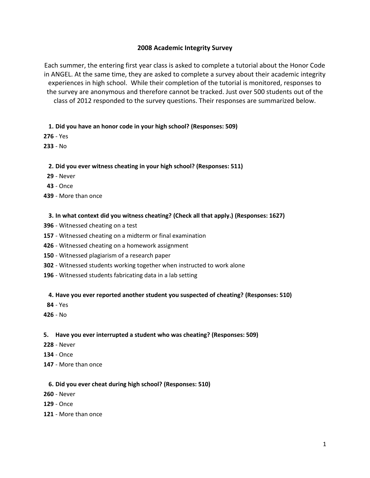# **2008 Academic Integrity Survey**

Each summer, the entering first year class is asked to complete a tutorial about the Honor Code in ANGEL. At the same time, they are asked to complete a survey about their academic integrity experiences in high school. While their completion of the tutorial is monitored, responses to the survey are anonymous and therefore cannot be tracked. Just over 500 students out of the class of 2012 responded to the survey questions. Their responses are summarized below.

# **1. Did you have an honor code in your high school? (Responses: 509)**

- Yes

- No

# **2. Did you ever witness cheating in your high school? (Responses: 511)**

- Never
- Once
- More than once

# **3. In what context did you witness cheating? (Check all that apply.) (Responses: 1627)**

- Witnessed cheating on a test
- Witnessed cheating on a midterm or final examination
- Witnessed cheating on a homework assignment
- Witnessed plagiarism of a research paper
- Witnessed students working together when instructed to work alone
- Witnessed students fabricating data in a lab setting

## **4. Have you ever reported another student you suspected of cheating? (Responses: 510)**

- Yes
- No

# **5. Have you ever interrupted a student who was cheating? (Responses: 509)**

- Never
- Once
- More than once

## **6. Did you ever cheat during high school? (Responses: 510)**

- Never
- Once
- More than once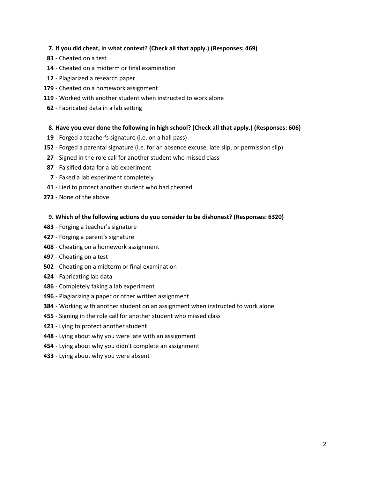# **7. If you did cheat, in what context? (Check all that apply.) (Responses: 469)**

- Cheated on a test
- Cheated on a midterm or final examination
- Plagiarized a research paper
- Cheated on a homework assignment
- Worked with another student when instructed to work alone
- Fabricated data in a lab setting

# **8. Have you ever done the following in high school? (Check all that apply.) (Responses: 606)**

- Forged a teacher's signature (i.e. on a hall pass)
- Forged a parental signature (i.e. for an absence excuse, late slip, or permission slip)
- Signed in the role call for another student who missed class
- Falsified data for a lab experiment
- Faked a lab experiment completely
- Lied to protect another student who had cheated
- None of the above.

# **9. Which of the following actions do you consider to be dishonest? (Responses: 6320)**

- Forging a teacher's signature
- Forging a parent's signature
- Cheating on a homework assignment
- Cheating on a test
- Cheating on a midterm or final examination
- Fabricating lab data
- Completely faking a lab experiment
- Plagiarizing a paper or other written assignment
- Working with another student on an assignment when instructed to work alone
- Signing in the role call for another student who missed class
- Lying to protect another student
- Lying about why you were late with an assignment
- Lying about why you didn't complete an assignment
- Lying about why you were absent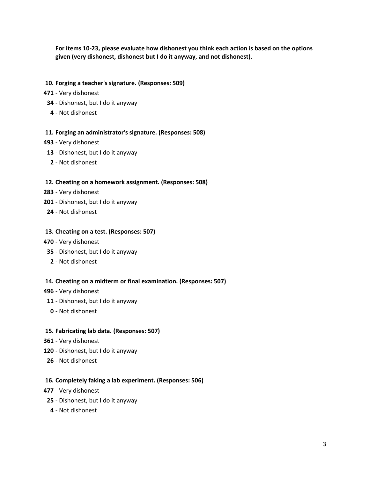**For items 10-23, please evaluate how dishonest you think each action is based on the options given (very dishonest, dishonest but I do it anyway, and not dishonest).**

### **10. Forging a teacher's signature. (Responses: 509)**

- Very dishonest
- Dishonest, but I do it anyway
	- Not dishonest

### **11. Forging an administrator's signature. (Responses: 508)**

- Very dishonest
- Dishonest, but I do it anyway
- Not dishonest

### **12. Cheating on a homework assignment. (Responses: 508)**

- Very dishonest
- Dishonest, but I do it anyway
- Not dishonest

### **13. Cheating on a test. (Responses: 507)**

- Very dishonest
- Dishonest, but I do it anyway
- Not dishonest

#### **14. Cheating on a midterm or final examination. (Responses: 507)**

#### - Very dishonest

- Dishonest, but I do it anyway
- Not dishonest

#### **15. Fabricating lab data. (Responses: 507)**

- Very dishonest
- Dishonest, but I do it anyway
- Not dishonest

#### **16. Completely faking a lab experiment. (Responses: 506)**

- Very dishonest
- Dishonest, but I do it anyway
- Not dishonest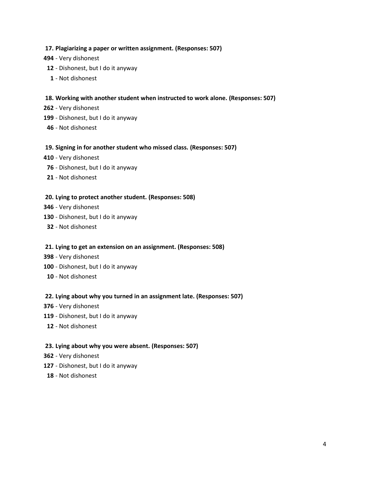# **17. Plagiarizing a paper or written assignment. (Responses: 507)**

- Very dishonest
- Dishonest, but I do it anyway
- Not dishonest

## **18. Working with another student when instructed to work alone. (Responses: 507)**

- Very dishonest
- Dishonest, but I do it anyway
- Not dishonest

## **19. Signing in for another student who missed class. (Responses: 507)**

- Very dishonest
- Dishonest, but I do it anyway
- Not dishonest

## **20. Lying to protect another student. (Responses: 508)**

- Very dishonest
- Dishonest, but I do it anyway
- Not dishonest

## **21. Lying to get an extension on an assignment. (Responses: 508)**

- Very dishonest
- Dishonest, but I do it anyway
- Not dishonest

## **22. Lying about why you turned in an assignment late. (Responses: 507)**

- Very dishonest
- Dishonest, but I do it anyway
- Not dishonest

## **23. Lying about why you were absent. (Responses: 507)**

- Very dishonest
- Dishonest, but I do it anyway
- Not dishonest